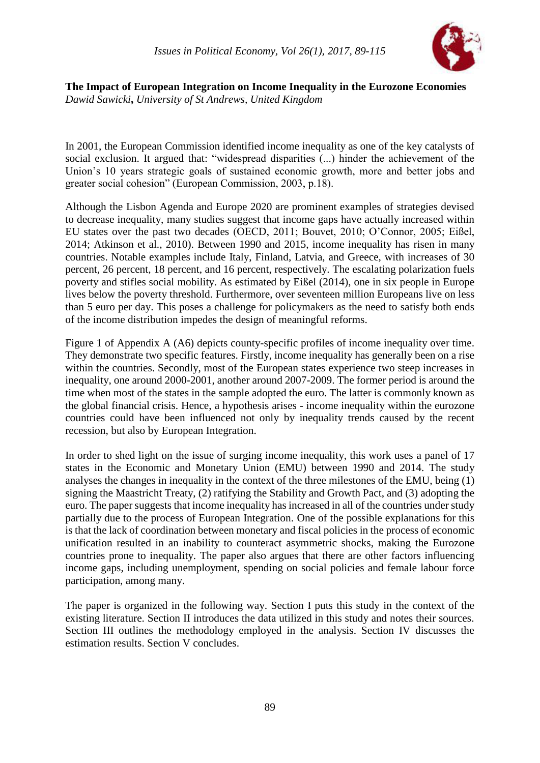

**The Impact of European Integration on Income Inequality in the Eurozone Economies** *Dawid Sawicki***,** *University of St Andrews, United Kingdom*

In 2001, the European Commission identified income inequality as one of the key catalysts of social exclusion. It argued that: "widespread disparities (...) hinder the achievement of the Union's 10 years strategic goals of sustained economic growth, more and better jobs and greater social cohesion" (European Commission, 2003, p.18).

Although the Lisbon Agenda and Europe 2020 are prominent examples of strategies devised to decrease inequality, many studies suggest that income gaps have actually increased within EU states over the past two decades (OECD, 2011; Bouvet, 2010; O'Connor, 2005; Eißel, 2014; Atkinson et al., 2010). Between 1990 and 2015, income inequality has risen in many countries. Notable examples include Italy, Finland, Latvia, and Greece, with increases of 30 percent, 26 percent, 18 percent, and 16 percent, respectively. The escalating polarization fuels poverty and stifles social mobility. As estimated by Eißel (2014), one in six people in Europe lives below the poverty threshold. Furthermore, over seventeen million Europeans live on less than 5 euro per day. This poses a challenge for policymakers as the need to satisfy both ends of the income distribution impedes the design of meaningful reforms.

Figure 1 of Appendix A (A6) depicts county-specific profiles of income inequality over time. They demonstrate two specific features. Firstly, income inequality has generally been on a rise within the countries. Secondly, most of the European states experience two steep increases in inequality, one around 2000-2001, another around 2007-2009. The former period is around the time when most of the states in the sample adopted the euro. The latter is commonly known as the global financial crisis. Hence, a hypothesis arises - income inequality within the eurozone countries could have been influenced not only by inequality trends caused by the recent recession, but also by European Integration.

In order to shed light on the issue of surging income inequality, this work uses a panel of 17 states in the Economic and Monetary Union (EMU) between 1990 and 2014. The study analyses the changes in inequality in the context of the three milestones of the EMU, being (1) signing the Maastricht Treaty, (2) ratifying the Stability and Growth Pact, and (3) adopting the euro. The paper suggests that income inequality has increased in all of the countries under study partially due to the process of European Integration. One of the possible explanations for this is that the lack of coordination between monetary and fiscal policies in the process of economic unification resulted in an inability to counteract asymmetric shocks, making the Eurozone countries prone to inequality. The paper also argues that there are other factors influencing income gaps, including unemployment, spending on social policies and female labour force participation, among many.

The paper is organized in the following way. Section I puts this study in the context of the existing literature. Section II introduces the data utilized in this study and notes their sources. Section III outlines the methodology employed in the analysis. Section IV discusses the estimation results. Section V concludes.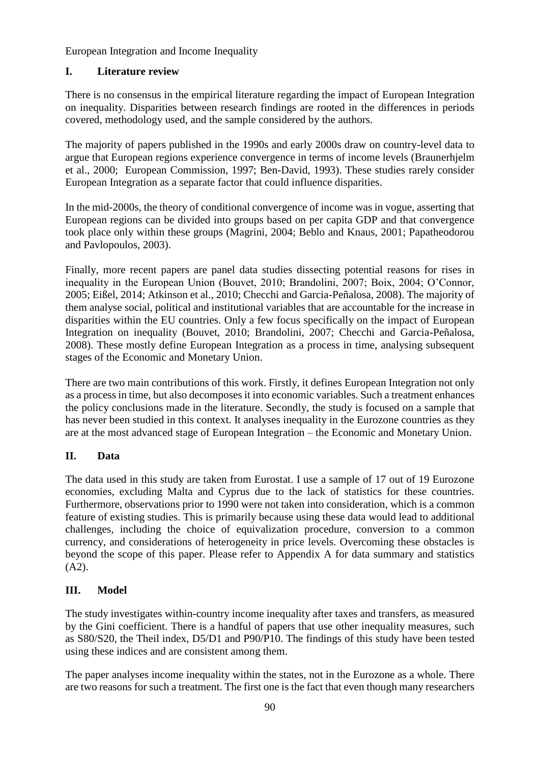## **I. Literature review**

There is no consensus in the empirical literature regarding the impact of European Integration on inequality. Disparities between research findings are rooted in the differences in periods covered, methodology used, and the sample considered by the authors.

The majority of papers published in the 1990s and early 2000s draw on country-level data to argue that European regions experience convergence in terms of income levels (Braunerhjelm et al., 2000; European Commission, 1997; Ben-David, 1993). These studies rarely consider European Integration as a separate factor that could influence disparities.

In the mid-2000s, the theory of conditional convergence of income was in vogue, asserting that European regions can be divided into groups based on per capita GDP and that convergence took place only within these groups (Magrini, 2004; Beblo and Knaus, 2001; Papatheodorou and Pavlopoulos, 2003).

Finally, more recent papers are panel data studies dissecting potential reasons for rises in inequality in the European Union (Bouvet, 2010; Brandolini, 2007; Boix, 2004; O'Connor, 2005; Eißel, 2014; Atkinson et al., 2010; Checchi and Garcia-Peñalosa, 2008). The majority of them analyse social, political and institutional variables that are accountable for the increase in disparities within the EU countries. Only a few focus specifically on the impact of European Integration on inequality (Bouvet, 2010; Brandolini, 2007; Checchi and Garcia-Peñalosa, 2008). These mostly define European Integration as a process in time, analysing subsequent stages of the Economic and Monetary Union.

There are two main contributions of this work. Firstly, it defines European Integration not only as a process in time, but also decomposes it into economic variables. Such a treatment enhances the policy conclusions made in the literature. Secondly, the study is focused on a sample that has never been studied in this context. It analyses inequality in the Eurozone countries as they are at the most advanced stage of European Integration – the Economic and Monetary Union.

## **II. Data**

The data used in this study are taken from Eurostat. I use a sample of 17 out of 19 Eurozone economies, excluding Malta and Cyprus due to the lack of statistics for these countries. Furthermore, observations prior to 1990 were not taken into consideration, which is a common feature of existing studies. This is primarily because using these data would lead to additional challenges, including the choice of equivalization procedure, conversion to a common currency, and considerations of heterogeneity in price levels. Overcoming these obstacles is beyond the scope of this paper. Please refer to Appendix A for data summary and statistics (A2).

## **III. Model**

The study investigates within-country income inequality after taxes and transfers, as measured by the Gini coefficient. There is a handful of papers that use other inequality measures, such as S80/S20, the Theil index, D5/D1 and P90/P10. The findings of this study have been tested using these indices and are consistent among them.

The paper analyses income inequality within the states, not in the Eurozone as a whole. There are two reasons for such a treatment. The first one is the fact that even though many researchers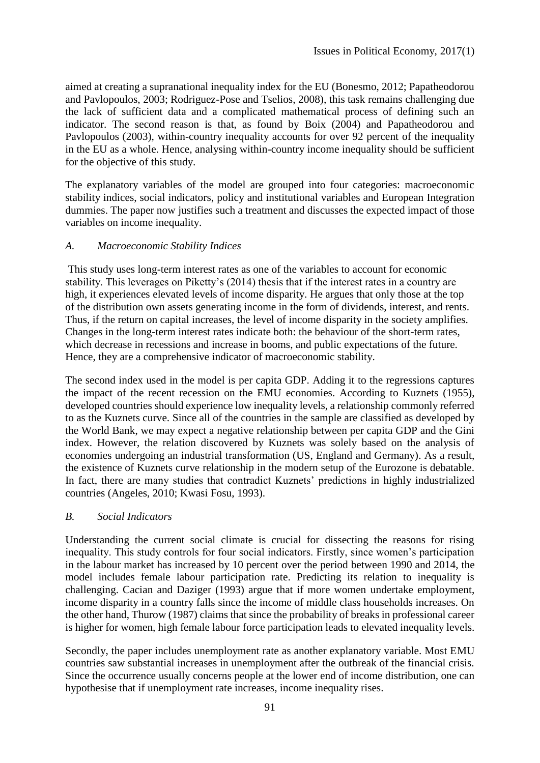aimed at creating a supranational inequality index for the EU (Bonesmo, 2012; Papatheodorou and Pavlopoulos, 2003; Rodriguez-Pose and Tselios, 2008), this task remains challenging due the lack of sufficient data and a complicated mathematical process of defining such an indicator. The second reason is that, as found by Boix (2004) and Papatheodorou and Pavlopoulos (2003), within-country inequality accounts for over 92 percent of the inequality in the EU as a whole. Hence, analysing within-country income inequality should be sufficient for the objective of this study.

The explanatory variables of the model are grouped into four categories: macroeconomic stability indices, social indicators, policy and institutional variables and European Integration dummies. The paper now justifies such a treatment and discusses the expected impact of those variables on income inequality.

#### *A. Macroeconomic Stability Indices*

This study uses long-term interest rates as one of the variables to account for economic stability. This leverages on Piketty's (2014) thesis that if the interest rates in a country are high, it experiences elevated levels of income disparity. He argues that only those at the top of the distribution own assets generating income in the form of dividends, interest, and rents. Thus, if the return on capital increases, the level of income disparity in the society amplifies. Changes in the long-term interest rates indicate both: the behaviour of the short-term rates, which decrease in recessions and increase in booms, and public expectations of the future. Hence, they are a comprehensive indicator of macroeconomic stability.

The second index used in the model is per capita GDP. Adding it to the regressions captures the impact of the recent recession on the EMU economies. According to Kuznets (1955), developed countries should experience low inequality levels, a relationship commonly referred to as the Kuznets curve. Since all of the countries in the sample are classified as developed by the World Bank, we may expect a negative relationship between per capita GDP and the Gini index. However, the relation discovered by Kuznets was solely based on the analysis of economies undergoing an industrial transformation (US, England and Germany). As a result, the existence of Kuznets curve relationship in the modern setup of the Eurozone is debatable. In fact, there are many studies that contradict Kuznets' predictions in highly industrialized countries (Angeles, 2010; Kwasi Fosu, 1993).

#### *B. Social Indicators*

Understanding the current social climate is crucial for dissecting the reasons for rising inequality. This study controls for four social indicators. Firstly, since women's participation in the labour market has increased by 10 percent over the period between 1990 and 2014, the model includes female labour participation rate. Predicting its relation to inequality is challenging. Cacian and Daziger (1993) argue that if more women undertake employment, income disparity in a country falls since the income of middle class households increases. On the other hand, Thurow (1987) claims that since the probability of breaks in professional career is higher for women, high female labour force participation leads to elevated inequality levels.

Secondly, the paper includes unemployment rate as another explanatory variable. Most EMU countries saw substantial increases in unemployment after the outbreak of the financial crisis. Since the occurrence usually concerns people at the lower end of income distribution, one can hypothesise that if unemployment rate increases, income inequality rises.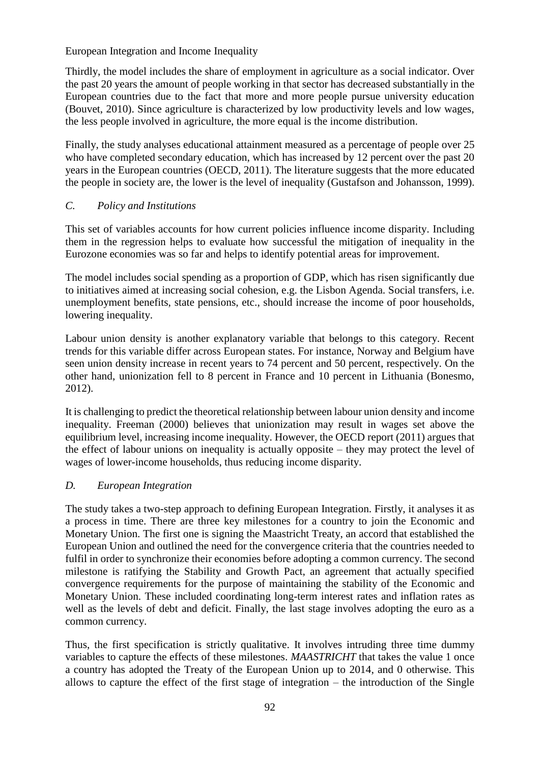Thirdly, the model includes the share of employment in agriculture as a social indicator. Over the past 20 years the amount of people working in that sector has decreased substantially in the European countries due to the fact that more and more people pursue university education (Bouvet, 2010). Since agriculture is characterized by low productivity levels and low wages, the less people involved in agriculture, the more equal is the income distribution.

Finally, the study analyses educational attainment measured as a percentage of people over 25 who have completed secondary education, which has increased by 12 percent over the past 20 years in the European countries (OECD, 2011). The literature suggests that the more educated the people in society are, the lower is the level of inequality (Gustafson and Johansson, 1999).

## *C. Policy and Institutions*

This set of variables accounts for how current policies influence income disparity. Including them in the regression helps to evaluate how successful the mitigation of inequality in the Eurozone economies was so far and helps to identify potential areas for improvement.

The model includes social spending as a proportion of GDP, which has risen significantly due to initiatives aimed at increasing social cohesion, e.g. the Lisbon Agenda. Social transfers, i.e. unemployment benefits, state pensions, etc., should increase the income of poor households, lowering inequality.

Labour union density is another explanatory variable that belongs to this category. Recent trends for this variable differ across European states. For instance, Norway and Belgium have seen union density increase in recent years to 74 percent and 50 percent, respectively. On the other hand, unionization fell to 8 percent in France and 10 percent in Lithuania (Bonesmo, 2012).

It is challenging to predict the theoretical relationship between labour union density and income inequality. Freeman (2000) believes that unionization may result in wages set above the equilibrium level, increasing income inequality. However, the OECD report (2011) argues that the effect of labour unions on inequality is actually opposite – they may protect the level of wages of lower-income households, thus reducing income disparity.

## *D. European Integration*

The study takes a two-step approach to defining European Integration. Firstly, it analyses it as a process in time. There are three key milestones for a country to join the Economic and Monetary Union. The first one is signing the Maastricht Treaty, an accord that established the European Union and outlined the need for the convergence criteria that the countries needed to fulfil in order to synchronize their economies before adopting a common currency. The second milestone is ratifying the Stability and Growth Pact, an agreement that actually specified convergence requirements for the purpose of maintaining the stability of the Economic and Monetary Union. These included coordinating long-term interest rates and inflation rates as well as the levels of debt and deficit. Finally, the last stage involves adopting the euro as a common currency.

Thus, the first specification is strictly qualitative. It involves intruding three time dummy variables to capture the effects of these milestones. *MAASTRICHT* that takes the value 1 once a country has adopted the Treaty of the European Union up to 2014, and 0 otherwise. This allows to capture the effect of the first stage of integration – the introduction of the Single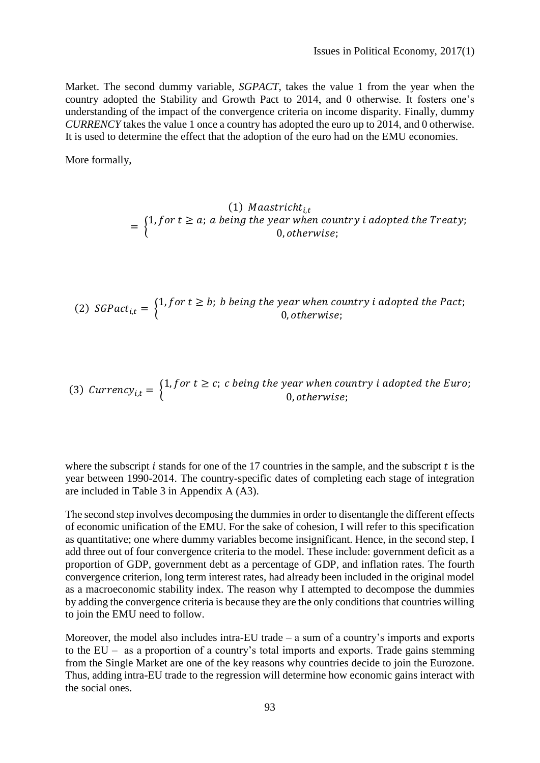Market. The second dummy variable, *SGPACT*, takes the value 1 from the year when the country adopted the Stability and Growth Pact to 2014, and 0 otherwise. It fosters one's understanding of the impact of the convergence criteria on income disparity. Finally, dummy *CURRENCY* takes the value 1 once a country has adopted the euro up to 2014, and 0 otherwise. It is used to determine the effect that the adoption of the euro had on the EMU economies.

More formally,

(1)  $Maastricht_{i,t}$  $=\begin{cases} 1, for \ t \geq a; \ a \ being \ the \ year \ when \ country \ i \ adopted \ the \ Treat \ y; \ 0 \ \ otherwise. \end{cases}$ 0, otherwise;

(2)  $SGPack_{i,t} = \begin{cases} 1, for \ t \geq b; \ b \ being \ the \ year \ when \ country \ i \ adopted \ the \ Pact; 0 \ otherwise. \end{cases}$ 0, otherwise;

(3) 
$$
Current(y_{i,t} = \begin{cases} 1, for \ t \geq c; \ c \ being \ the \ year \ when \ country \ i \ adopted \ the \ Euro; \\ 0, otherwise; \end{cases}
$$

where the subscript  $i$  stands for one of the 17 countries in the sample, and the subscript  $t$  is the year between 1990-2014. The country-specific dates of completing each stage of integration are included in Table 3 in Appendix A (A3).

The second step involves decomposing the dummies in order to disentangle the different effects of economic unification of the EMU. For the sake of cohesion, I will refer to this specification as quantitative; one where dummy variables become insignificant. Hence, in the second step, I add three out of four convergence criteria to the model. These include: government deficit as a proportion of GDP, government debt as a percentage of GDP, and inflation rates. The fourth convergence criterion, long term interest rates, had already been included in the original model as a macroeconomic stability index. The reason why I attempted to decompose the dummies by adding the convergence criteria is because they are the only conditions that countries willing to join the EMU need to follow.

Moreover, the model also includes intra-EU trade – a sum of a country's imports and exports to the EU – as a proportion of a country's total imports and exports. Trade gains stemming from the Single Market are one of the key reasons why countries decide to join the Eurozone. Thus, adding intra-EU trade to the regression will determine how economic gains interact with the social ones.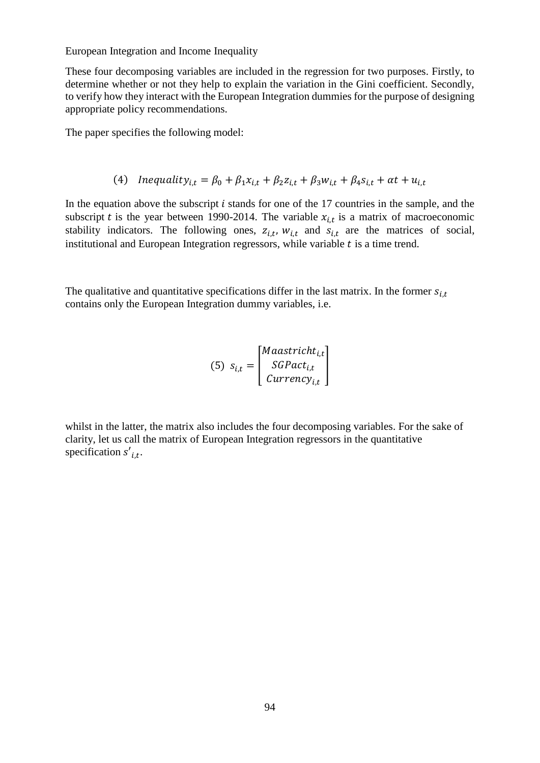These four decomposing variables are included in the regression for two purposes. Firstly, to determine whether or not they help to explain the variation in the Gini coefficient. Secondly, to verify how they interact with the European Integration dummies for the purpose of designing appropriate policy recommendations.

The paper specifies the following model:

(4) Inequality<sub>i,t</sub> = 
$$
\beta_0 + \beta_1 x_{i,t} + \beta_2 z_{i,t} + \beta_3 w_{i,t} + \beta_4 s_{i,t} + \alpha t + u_{i,t}
$$

In the equation above the subscript  $i$  stands for one of the 17 countries in the sample, and the subscript t is the year between 1990-2014. The variable  $x_{i,t}$  is a matrix of macroeconomic stability indicators. The following ones,  $z_{i,t}$ ,  $w_{i,t}$  and  $s_{i,t}$  are the matrices of social, institutional and European Integration regressors, while variable  $t$  is a time trend.

The qualitative and quantitative specifications differ in the last matrix. In the former  $s_{i,t}$ contains only the European Integration dummy variables, i.e.

(5) 
$$
s_{i,t} = \begin{bmatrix} Maastricht_{i,t} \\ SGPact_{i,t} \\ Currency_{i,t} \end{bmatrix}
$$

whilst in the latter, the matrix also includes the four decomposing variables. For the sake of clarity, let us call the matrix of European Integration regressors in the quantitative specification  $s'_{i,t}$ .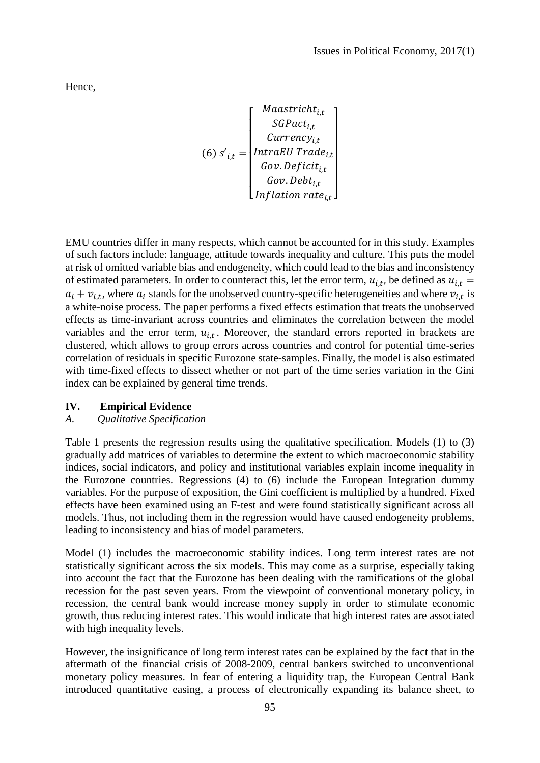Hence,

$$
(6) s'_{i,t} = \begin{bmatrix} Maastricht_{i,t} \\ SGPact_{i,t} \\ Currency_{i,t} \\ IntraEU Trade_{i,t} \\ Gov.Deficit_{i,t} \\ Inv.Debt_{i,t} \\ Inflation rate_{i,t} \end{bmatrix}
$$

EMU countries differ in many respects, which cannot be accounted for in this study. Examples of such factors include: language, attitude towards inequality and culture. This puts the model at risk of omitted variable bias and endogeneity, which could lead to the bias and inconsistency of estimated parameters. In order to counteract this, let the error term,  $u_{i,t}$ , be defined as  $u_{i,t}$  $a_i + v_{i,t}$ , where  $a_i$  stands for the unobserved country-specific heterogeneities and where  $v_{i,t}$  is a white-noise process. The paper performs a fixed effects estimation that treats the unobserved effects as time-invariant across countries and eliminates the correlation between the model variables and the error term,  $u_{i,t}$ . Moreover, the standard errors reported in brackets are clustered, which allows to group errors across countries and control for potential time-series correlation of residuals in specific Eurozone state-samples. Finally, the model is also estimated with time-fixed effects to dissect whether or not part of the time series variation in the Gini index can be explained by general time trends.

#### **IV. Empirical Evidence**

#### *A. Qualitative Specification*

Table 1 presents the regression results using the qualitative specification. Models (1) to (3) gradually add matrices of variables to determine the extent to which macroeconomic stability indices, social indicators, and policy and institutional variables explain income inequality in the Eurozone countries. Regressions (4) to (6) include the European Integration dummy variables. For the purpose of exposition, the Gini coefficient is multiplied by a hundred. Fixed effects have been examined using an F-test and were found statistically significant across all models. Thus, not including them in the regression would have caused endogeneity problems, leading to inconsistency and bias of model parameters.

Model (1) includes the macroeconomic stability indices. Long term interest rates are not statistically significant across the six models. This may come as a surprise, especially taking into account the fact that the Eurozone has been dealing with the ramifications of the global recession for the past seven years. From the viewpoint of conventional monetary policy, in recession, the central bank would increase money supply in order to stimulate economic growth, thus reducing interest rates. This would indicate that high interest rates are associated with high inequality levels.

However, the insignificance of long term interest rates can be explained by the fact that in the aftermath of the financial crisis of 2008-2009, central bankers switched to unconventional monetary policy measures. In fear of entering a liquidity trap, the European Central Bank introduced quantitative easing, a process of electronically expanding its balance sheet, to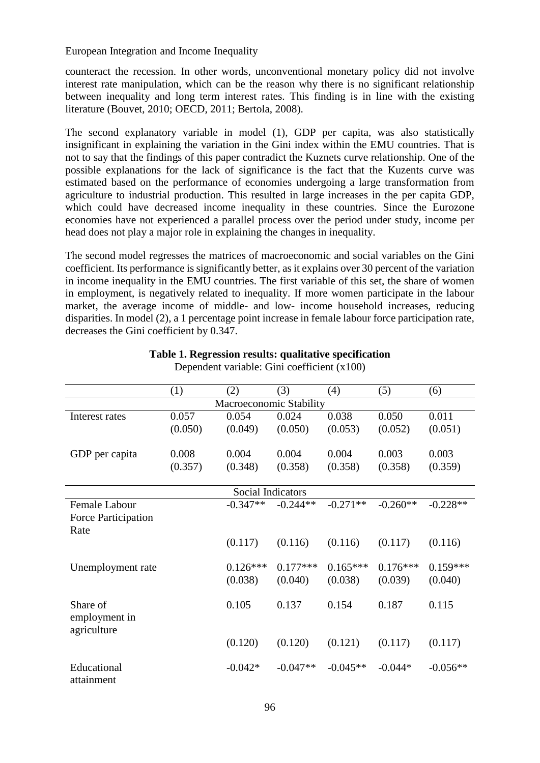counteract the recession. In other words, unconventional monetary policy did not involve interest rate manipulation, which can be the reason why there is no significant relationship between inequality and long term interest rates. This finding is in line with the existing literature (Bouvet, 2010; OECD, 2011; Bertola, 2008).

The second explanatory variable in model (1), GDP per capita, was also statistically insignificant in explaining the variation in the Gini index within the EMU countries. That is not to say that the findings of this paper contradict the Kuznets curve relationship. One of the possible explanations for the lack of significance is the fact that the Kuzents curve was estimated based on the performance of economies undergoing a large transformation from agriculture to industrial production. This resulted in large increases in the per capita GDP, which could have decreased income inequality in these countries. Since the Eurozone economies have not experienced a parallel process over the period under study, income per head does not play a major role in explaining the changes in inequality.

The second model regresses the matrices of macroeconomic and social variables on the Gini coefficient. Its performance is significantly better, as it explains over 30 percent of the variation in income inequality in the EMU countries. The first variable of this set, the share of women in employment, is negatively related to inequality. If more women participate in the labour market, the average income of middle- and low- income household increases, reducing disparities. In model (2), a 1 percentage point increase in female labour force participation rate, decreases the Gini coefficient by 0.347.

|                     | (1)     | (2)                     | (3)        | (4)        | (5)        | (6)        |
|---------------------|---------|-------------------------|------------|------------|------------|------------|
|                     |         | Macroeconomic Stability |            |            |            |            |
| Interest rates      | 0.057   | 0.054                   | 0.024      | 0.038      | 0.050      | 0.011      |
|                     | (0.050) | (0.049)                 | (0.050)    | (0.053)    | (0.052)    | (0.051)    |
|                     |         |                         |            |            |            |            |
| GDP per capita      | 0.008   | 0.004                   | 0.004      | 0.004      | 0.003      | 0.003      |
|                     | (0.357) | (0.348)                 | (0.358)    | (0.358)    | (0.358)    | (0.359)    |
|                     |         |                         |            |            |            |            |
|                     |         | Social Indicators       |            |            |            |            |
| Female Labour       |         | $-0.347**$              | $-0.244**$ | $-0.271**$ | $-0.260**$ | $-0.228**$ |
| Force Participation |         |                         |            |            |            |            |
| Rate                |         |                         |            |            |            |            |
|                     |         | (0.117)                 | (0.116)    | (0.116)    | (0.117)    | (0.116)    |
|                     |         |                         |            |            |            |            |
| Unemployment rate   |         | $0.126***$              | $0.177***$ | $0.165***$ | $0.176***$ | $0.159***$ |
|                     |         | (0.038)                 | (0.040)    | (0.038)    | (0.039)    | (0.040)    |
|                     |         |                         |            |            |            |            |
| Share of            |         | 0.105                   | 0.137      | 0.154      | 0.187      | 0.115      |
| employment in       |         |                         |            |            |            |            |
| agriculture         |         |                         |            |            |            |            |
|                     |         | (0.120)                 | (0.120)    | (0.121)    | (0.117)    | (0.117)    |
|                     |         |                         |            |            |            |            |
| Educational         |         | $-0.042*$               | $-0.047**$ | $-0.045**$ | $-0.044*$  | $-0.056**$ |
| attainment          |         |                         |            |            |            |            |

#### **Table 1. Regression results: qualitative specification** Dependent variable: Gini coefficient (x100)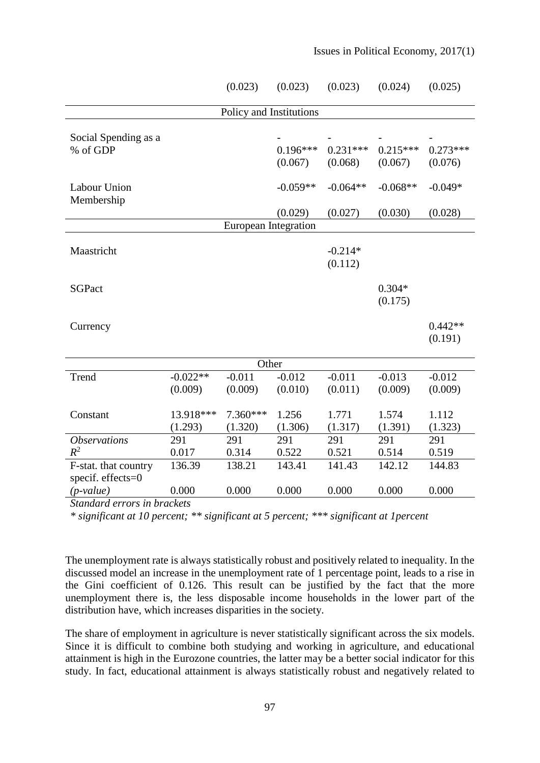|                                           |                       | (0.023)                 | (0.023)               | (0.023)               | (0.024)               | (0.025)               |
|-------------------------------------------|-----------------------|-------------------------|-----------------------|-----------------------|-----------------------|-----------------------|
|                                           |                       | Policy and Institutions |                       |                       |                       |                       |
| Social Spending as a<br>% of GDP          |                       |                         | $0.196***$<br>(0.067) | $0.231***$<br>(0.068) | $0.215***$<br>(0.067) | $0.273***$<br>(0.076) |
| <b>Labour Union</b><br>Membership         |                       |                         | $-0.059**$            | $-0.064**$            | $-0.068**$            | $-0.049*$             |
|                                           |                       |                         | (0.029)               | (0.027)               | (0.030)               | (0.028)               |
|                                           |                       | European Integration    |                       |                       |                       |                       |
| Maastricht                                |                       |                         |                       | $-0.214*$<br>(0.112)  |                       |                       |
| <b>SGPact</b>                             |                       |                         |                       |                       | $0.304*$<br>(0.175)   |                       |
| Currency                                  |                       |                         |                       |                       |                       | $0.442**$<br>(0.191)  |
|                                           |                       | Other                   |                       |                       |                       |                       |
| Trend                                     | $-0.022**$<br>(0.009) | $-0.011$<br>(0.009)     | $-0.012$<br>(0.010)   | $-0.011$<br>(0.011)   | $-0.013$<br>(0.009)   | $-0.012$<br>(0.009)   |
| Constant                                  | 13.918***<br>(1.293)  | 7.360***<br>(1.320)     | 1.256<br>(1.306)      | 1.771<br>(1.317)      | 1.574<br>(1.391)      | 1.112<br>(1.323)      |
| <i><b>Observations</b></i>                | 291                   | 291                     | 291                   | 291                   | 291                   | 291                   |
| $R^2$                                     | 0.017                 | 0.314                   | 0.522                 | 0.521                 | 0.514                 | 0.519                 |
| F-stat. that country<br>specif. effects=0 | 136.39                | 138.21                  | 143.41                | 141.43                | 142.12                | 144.83                |
| $(p-value)$                               | 0.000                 | 0.000                   | 0.000                 | 0.000                 | 0.000                 | 0.000                 |

*Standard errors in brackets*

*\* significant at 10 percent; \*\* significant at 5 percent; \*\*\* significant at 1percent*

The unemployment rate is always statistically robust and positively related to inequality. In the discussed model an increase in the unemployment rate of 1 percentage point, leads to a rise in the Gini coefficient of 0.126. This result can be justified by the fact that the more unemployment there is, the less disposable income households in the lower part of the distribution have, which increases disparities in the society.

The share of employment in agriculture is never statistically significant across the six models. Since it is difficult to combine both studying and working in agriculture, and educational attainment is high in the Eurozone countries, the latter may be a better social indicator for this study. In fact, educational attainment is always statistically robust and negatively related to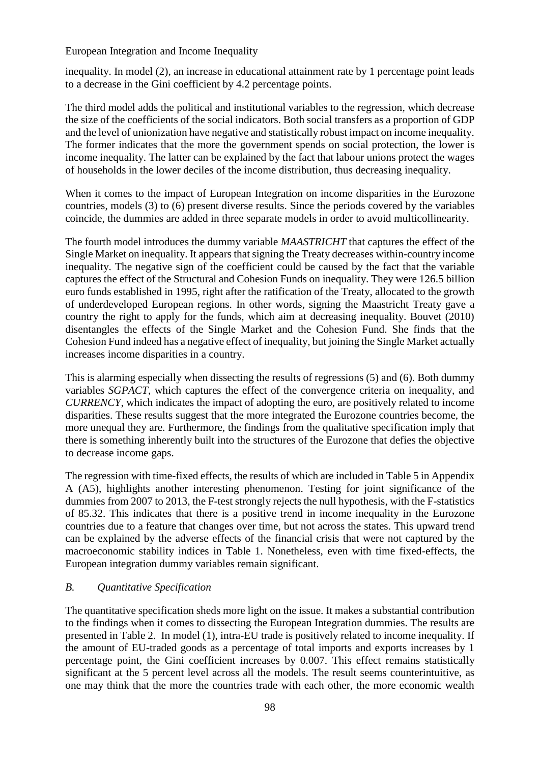inequality. In model (2), an increase in educational attainment rate by 1 percentage point leads to a decrease in the Gini coefficient by 4.2 percentage points.

The third model adds the political and institutional variables to the regression, which decrease the size of the coefficients of the social indicators. Both social transfers as a proportion of GDP and the level of unionization have negative and statistically robust impact on income inequality. The former indicates that the more the government spends on social protection, the lower is income inequality. The latter can be explained by the fact that labour unions protect the wages of households in the lower deciles of the income distribution, thus decreasing inequality.

When it comes to the impact of European Integration on income disparities in the Eurozone countries, models (3) to (6) present diverse results. Since the periods covered by the variables coincide, the dummies are added in three separate models in order to avoid multicollinearity.

The fourth model introduces the dummy variable *MAASTRICHT* that captures the effect of the Single Market on inequality. It appears that signing the Treaty decreases within-country income inequality. The negative sign of the coefficient could be caused by the fact that the variable captures the effect of the Structural and Cohesion Funds on inequality. They were 126.5 billion euro funds established in 1995, right after the ratification of the Treaty, allocated to the growth of underdeveloped European regions. In other words, signing the Maastricht Treaty gave a country the right to apply for the funds, which aim at decreasing inequality. Bouvet (2010) disentangles the effects of the Single Market and the Cohesion Fund. She finds that the Cohesion Fund indeed has a negative effect of inequality, but joining the Single Market actually increases income disparities in a country.

This is alarming especially when dissecting the results of regressions (5) and (6). Both dummy variables *SGPACT*, which captures the effect of the convergence criteria on inequality, and *CURRENCY*, which indicates the impact of adopting the euro, are positively related to income disparities. These results suggest that the more integrated the Eurozone countries become, the more unequal they are. Furthermore, the findings from the qualitative specification imply that there is something inherently built into the structures of the Eurozone that defies the objective to decrease income gaps.

The regression with time-fixed effects, the results of which are included in Table 5 in Appendix A (A5), highlights another interesting phenomenon. Testing for joint significance of the dummies from 2007 to 2013, the F-test strongly rejects the null hypothesis, with the F-statistics of 85.32. This indicates that there is a positive trend in income inequality in the Eurozone countries due to a feature that changes over time, but not across the states. This upward trend can be explained by the adverse effects of the financial crisis that were not captured by the macroeconomic stability indices in Table 1. Nonetheless, even with time fixed-effects, the European integration dummy variables remain significant.

## *B. Quantitative Specification*

The quantitative specification sheds more light on the issue. It makes a substantial contribution to the findings when it comes to dissecting the European Integration dummies. The results are presented in Table 2. In model (1), intra-EU trade is positively related to income inequality. If the amount of EU-traded goods as a percentage of total imports and exports increases by 1 percentage point, the Gini coefficient increases by 0.007. This effect remains statistically significant at the 5 percent level across all the models. The result seems counterintuitive, as one may think that the more the countries trade with each other, the more economic wealth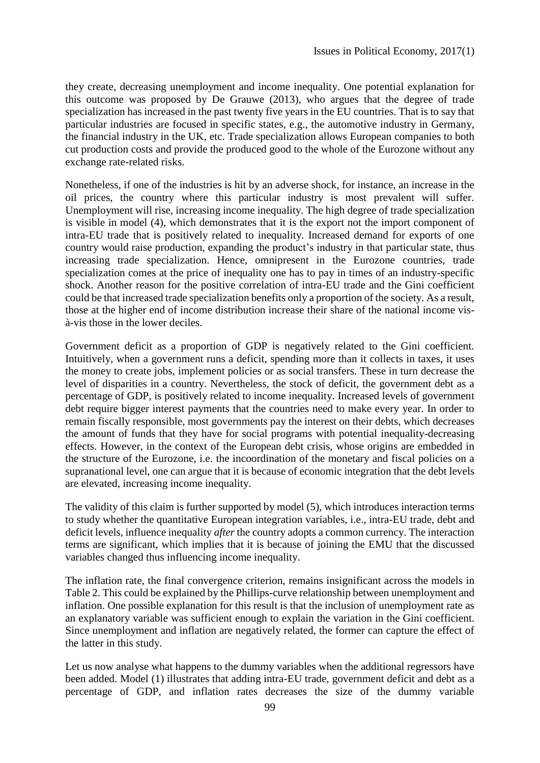they create, decreasing unemployment and income inequality. One potential explanation for this outcome was proposed by De Grauwe (2013), who argues that the degree of trade specialization has increased in the past twenty five years in the EU countries. That is to say that particular industries are focused in specific states, e.g., the automotive industry in Germany, the financial industry in the UK, etc. Trade specialization allows European companies to both cut production costs and provide the produced good to the whole of the Eurozone without any exchange rate-related risks.

Nonetheless, if one of the industries is hit by an adverse shock, for instance, an increase in the oil prices, the country where this particular industry is most prevalent will suffer. Unemployment will rise, increasing income inequality. The high degree of trade specialization is visible in model (4), which demonstrates that it is the export not the import component of intra-EU trade that is positively related to inequality. Increased demand for exports of one country would raise production, expanding the product's industry in that particular state, thus increasing trade specialization. Hence, omnipresent in the Eurozone countries, trade specialization comes at the price of inequality one has to pay in times of an industry-specific shock. Another reason for the positive correlation of intra-EU trade and the Gini coefficient could be that increased trade specialization benefits only a proportion of the society. As a result, those at the higher end of income distribution increase their share of the national income visà-vis those in the lower deciles.

Government deficit as a proportion of GDP is negatively related to the Gini coefficient. Intuitively, when a government runs a deficit, spending more than it collects in taxes, it uses the money to create jobs, implement policies or as social transfers. These in turn decrease the level of disparities in a country. Nevertheless, the stock of deficit, the government debt as a percentage of GDP, is positively related to income inequality. Increased levels of government debt require bigger interest payments that the countries need to make every year. In order to remain fiscally responsible, most governments pay the interest on their debts, which decreases the amount of funds that they have for social programs with potential inequality-decreasing effects. However, in the context of the European debt crisis, whose origins are embedded in the structure of the Eurozone, i.e. the incoordination of the monetary and fiscal policies on a supranational level, one can argue that it is because of economic integration that the debt levels are elevated, increasing income inequality.

The validity of this claim is further supported by model (5), which introduces interaction terms to study whether the quantitative European integration variables, i.e., intra-EU trade, debt and deficit levels, influence inequality *after* the country adopts a common currency. The interaction terms are significant, which implies that it is because of joining the EMU that the discussed variables changed thus influencing income inequality.

The inflation rate, the final convergence criterion, remains insignificant across the models in Table 2. This could be explained by the Phillips-curve relationship between unemployment and inflation. One possible explanation for this result is that the inclusion of unemployment rate as an explanatory variable was sufficient enough to explain the variation in the Gini coefficient. Since unemployment and inflation are negatively related, the former can capture the effect of the latter in this study.

Let us now analyse what happens to the dummy variables when the additional regressors have been added. Model (1) illustrates that adding intra-EU trade, government deficit and debt as a percentage of GDP, and inflation rates decreases the size of the dummy variable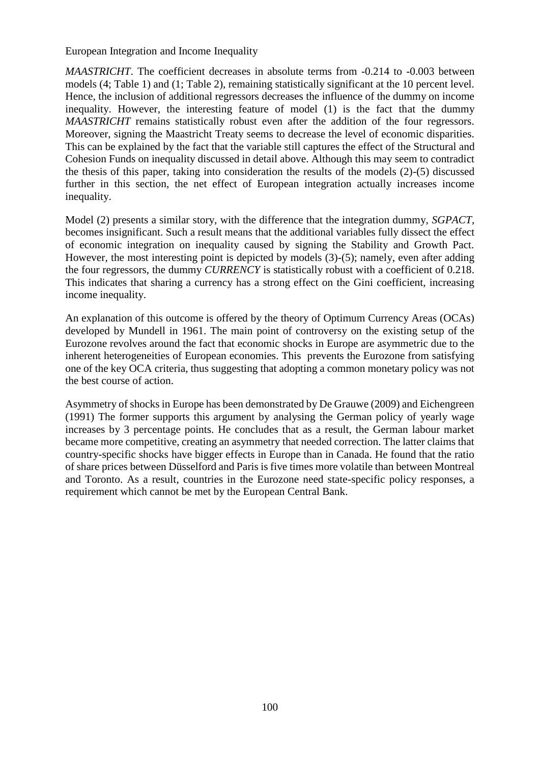*MAASTRICHT*. The coefficient decreases in absolute terms from  $-0.214$  to  $-0.003$  between models (4; Table 1) and (1; Table 2), remaining statistically significant at the 10 percent level. Hence, the inclusion of additional regressors decreases the influence of the dummy on income inequality. However, the interesting feature of model (1) is the fact that the dummy *MAASTRICHT* remains statistically robust even after the addition of the four regressors. Moreover, signing the Maastricht Treaty seems to decrease the level of economic disparities. This can be explained by the fact that the variable still captures the effect of the Structural and Cohesion Funds on inequality discussed in detail above. Although this may seem to contradict the thesis of this paper, taking into consideration the results of the models (2)-(5) discussed further in this section, the net effect of European integration actually increases income inequality.

Model (2) presents a similar story, with the difference that the integration dummy, *SGPACT*, becomes insignificant. Such a result means that the additional variables fully dissect the effect of economic integration on inequality caused by signing the Stability and Growth Pact. However, the most interesting point is depicted by models (3)-(5); namely, even after adding the four regressors, the dummy *CURRENCY* is statistically robust with a coefficient of 0.218. This indicates that sharing a currency has a strong effect on the Gini coefficient, increasing income inequality.

An explanation of this outcome is offered by the theory of Optimum Currency Areas (OCAs) developed by Mundell in 1961. The main point of controversy on the existing setup of the Eurozone revolves around the fact that economic shocks in Europe are asymmetric due to the inherent heterogeneities of European economies. This prevents the Eurozone from satisfying one of the key OCA criteria, thus suggesting that adopting a common monetary policy was not the best course of action.

Asymmetry of shocks in Europe has been demonstrated by De Grauwe (2009) and Eichengreen (1991) The former supports this argument by analysing the German policy of yearly wage increases by 3 percentage points. He concludes that as a result, the German labour market became more competitive, creating an asymmetry that needed correction. The latter claims that country-specific shocks have bigger effects in Europe than in Canada. He found that the ratio of share prices between Düsselford and Paris is five times more volatile than between Montreal and Toronto. As a result, countries in the Eurozone need state-specific policy responses, a requirement which cannot be met by the European Central Bank.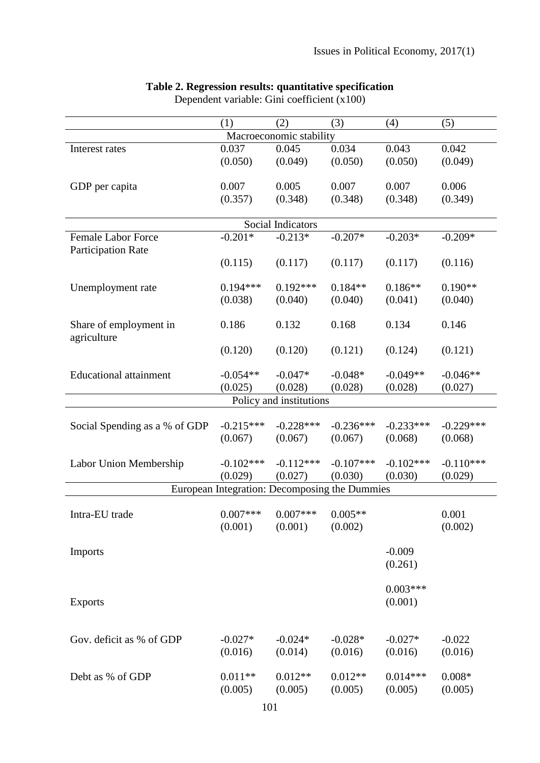|                               | (1)         | (2)                                           | (3)         | (4)         | (5)         |
|-------------------------------|-------------|-----------------------------------------------|-------------|-------------|-------------|
|                               |             | Macroeconomic stability                       |             |             |             |
| Interest rates                | 0.037       | 0.045                                         | 0.034       | 0.043       | 0.042       |
|                               | (0.050)     | (0.049)                                       | (0.050)     | (0.050)     | (0.049)     |
|                               |             |                                               |             |             |             |
| GDP per capita                | 0.007       | 0.005                                         | 0.007       | 0.007       | 0.006       |
|                               | (0.357)     | (0.348)                                       | (0.348)     | (0.348)     | (0.349)     |
|                               |             |                                               |             |             |             |
|                               |             | Social Indicators                             |             |             |             |
| <b>Female Labor Force</b>     | $-0.201*$   | $-0.213*$                                     | $-0.207*$   | $-0.203*$   | $-0.209*$   |
| <b>Participation Rate</b>     |             |                                               |             |             |             |
|                               | (0.115)     | (0.117)                                       | (0.117)     | (0.117)     | (0.116)     |
|                               |             |                                               |             |             |             |
| Unemployment rate             | $0.194***$  | $0.192***$                                    | $0.184**$   | $0.186**$   | $0.190**$   |
|                               | (0.038)     | (0.040)                                       | (0.040)     | (0.041)     | (0.040)     |
|                               |             |                                               |             |             |             |
| Share of employment in        | 0.186       | 0.132                                         | 0.168       | 0.134       | 0.146       |
| agriculture                   |             |                                               |             |             |             |
|                               | (0.120)     | (0.120)                                       | (0.121)     | (0.124)     | (0.121)     |
|                               |             |                                               |             |             |             |
| <b>Educational attainment</b> | $-0.054**$  | $-0.047*$                                     | $-0.048*$   | $-0.049**$  | $-0.046**$  |
|                               | (0.025)     | (0.028)                                       | (0.028)     | (0.028)     | (0.027)     |
|                               |             | Policy and institutions                       |             |             |             |
|                               |             |                                               |             |             |             |
| Social Spending as a % of GDP | $-0.215***$ | $-0.228***$                                   | $-0.236***$ | $-0.233***$ | $-0.229***$ |
|                               | (0.067)     | (0.067)                                       | (0.067)     | (0.068)     | (0.068)     |
| Labor Union Membership        | $-0.102***$ | $-0.112***$                                   | $-0.107***$ | $-0.102***$ | $-0.110***$ |
|                               | (0.029)     | (0.027)                                       | (0.030)     |             |             |
|                               |             | European Integration: Decomposing the Dummies |             | (0.030)     | (0.029)     |
|                               |             |                                               |             |             |             |
| Intra-EU trade                |             | $0.007***$ $0.007***$                         | $0.005**$   |             | 0.001       |
|                               | (0.001)     | (0.001)                                       | (0.002)     |             | (0.002)     |
|                               |             |                                               |             |             |             |
| <b>Imports</b>                |             |                                               |             | $-0.009$    |             |
|                               |             |                                               |             | (0.261)     |             |
|                               |             |                                               |             |             |             |
|                               |             |                                               |             | $0.003***$  |             |
| <b>Exports</b>                |             |                                               |             | (0.001)     |             |
|                               |             |                                               |             |             |             |
|                               |             |                                               |             |             |             |
| Gov. deficit as % of GDP      | $-0.027*$   | $-0.024*$                                     | $-0.028*$   | $-0.027*$   | $-0.022$    |
|                               | (0.016)     | (0.014)                                       | (0.016)     | (0.016)     | (0.016)     |
|                               |             |                                               |             |             |             |
| Debt as % of GDP              | $0.011**$   | $0.012**$                                     | $0.012**$   | $0.014***$  | $0.008*$    |
|                               | (0.005)     | (0.005)                                       | (0.005)     | (0.005)     | (0.005)     |
|                               |             |                                               |             |             |             |

#### **Table 2. Regression results: quantitative specification**

Dependent variable: Gini coefficient (x100)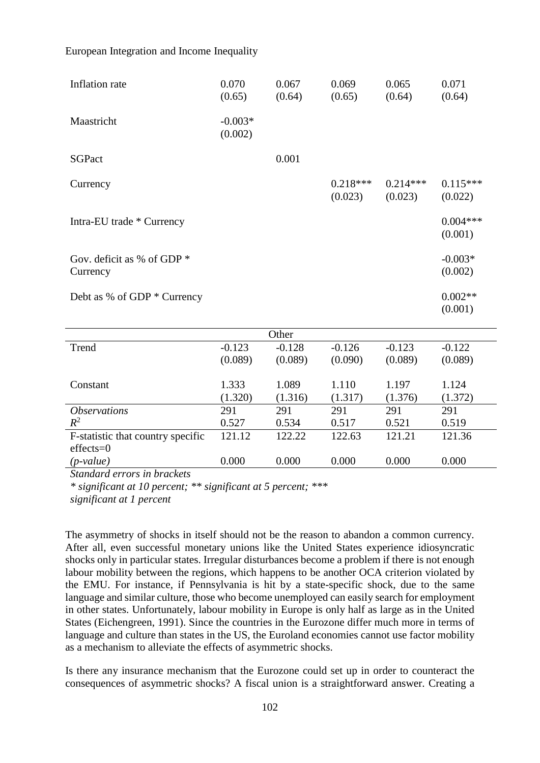| Inflation rate                                   | 0.070<br>(0.65)      | 0.067<br>(0.64) | 0.069<br>(0.65)       | 0.065<br>(0.64)       | 0.071<br>(0.64)       |
|--------------------------------------------------|----------------------|-----------------|-----------------------|-----------------------|-----------------------|
| Maastricht                                       | $-0.003*$<br>(0.002) |                 |                       |                       |                       |
| <b>SGPact</b>                                    |                      | 0.001           |                       |                       |                       |
| Currency                                         |                      |                 | $0.218***$<br>(0.023) | $0.214***$<br>(0.023) | $0.115***$<br>(0.022) |
| Intra-EU trade * Currency                        |                      |                 |                       |                       | $0.004***$<br>(0.001) |
| Gov. deficit as % of GDP $*$<br>Currency         |                      |                 |                       |                       | $-0.003*$<br>(0.002)  |
| Debt as % of GDP * Currency                      |                      |                 |                       |                       | $0.002**$<br>(0.001)  |
|                                                  |                      | Other           |                       |                       |                       |
| Trend                                            | $-0.123$             | $-0.128$        | $-0.126$              | $-0.123$              | $-0.122$              |
|                                                  | (0.089)              | (0.089)         | (0.090)               | (0.089)               | (0.089)               |
| Constant                                         | 1.333                | 1.089           | 1.110                 | 1.197                 | 1.124                 |
|                                                  | (1.320)              | (1.316)         | (1.317)               | (1.376)               | (1.372)               |
| <i><b>Observations</b></i>                       | 291                  | 291             | 291                   | 291                   | 291                   |
| $R^2$                                            | 0.527                | 0.534           | 0.517                 | 0.521                 | 0.519                 |
| F-statistic that country specific<br>$effects=0$ | 121.12               | 122.22          | 122.63                | 121.21                | 121.36                |
| $(p-value)$                                      | 0.000                | 0.000           | 0.000                 | 0.000                 | 0.000                 |

*Standard errors in brackets*

*\* significant at 10 percent; \*\* significant at 5 percent; \*\*\** 

*significant at 1 percent*

The asymmetry of shocks in itself should not be the reason to abandon a common currency. After all, even successful monetary unions like the United States experience idiosyncratic shocks only in particular states. Irregular disturbances become a problem if there is not enough labour mobility between the regions, which happens to be another OCA criterion violated by the EMU. For instance, if Pennsylvania is hit by a state-specific shock, due to the same language and similar culture, those who become unemployed can easily search for employment in other states. Unfortunately, labour mobility in Europe is only half as large as in the United States (Eichengreen, 1991). Since the countries in the Eurozone differ much more in terms of language and culture than states in the US, the Euroland economies cannot use factor mobility as a mechanism to alleviate the effects of asymmetric shocks.

Is there any insurance mechanism that the Eurozone could set up in order to counteract the consequences of asymmetric shocks? A fiscal union is a straightforward answer. Creating a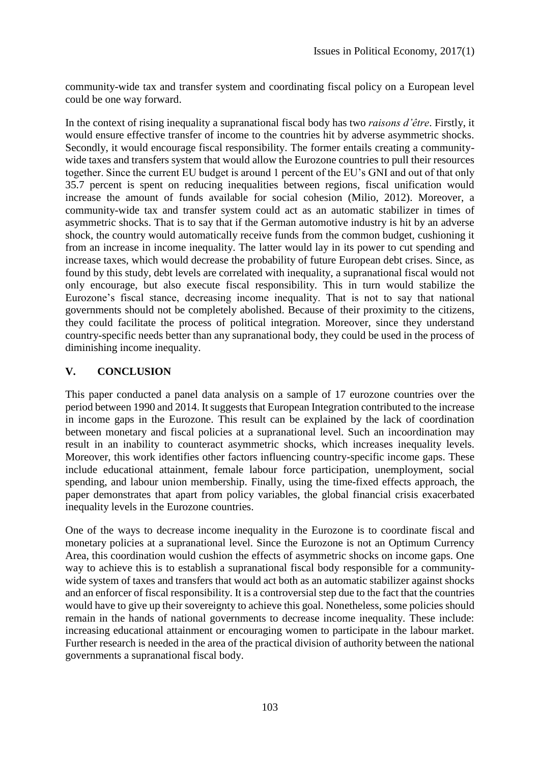community-wide tax and transfer system and coordinating fiscal policy on a European level could be one way forward.

In the context of rising inequality a supranational fiscal body has two *raisons d'être*. Firstly, it would ensure effective transfer of income to the countries hit by adverse asymmetric shocks. Secondly, it would encourage fiscal responsibility. The former entails creating a communitywide taxes and transfers system that would allow the Eurozone countries to pull their resources together. Since the current EU budget is around 1 percent of the EU's GNI and out of that only 35.7 percent is spent on reducing inequalities between regions, fiscal unification would increase the amount of funds available for social cohesion (Milio, 2012). Moreover, a community-wide tax and transfer system could act as an automatic stabilizer in times of asymmetric shocks. That is to say that if the German automotive industry is hit by an adverse shock, the country would automatically receive funds from the common budget, cushioning it from an increase in income inequality. The latter would lay in its power to cut spending and increase taxes, which would decrease the probability of future European debt crises. Since, as found by this study, debt levels are correlated with inequality, a supranational fiscal would not only encourage, but also execute fiscal responsibility. This in turn would stabilize the Eurozone's fiscal stance, decreasing income inequality. That is not to say that national governments should not be completely abolished. Because of their proximity to the citizens, they could facilitate the process of political integration. Moreover, since they understand country-specific needs better than any supranational body, they could be used in the process of diminishing income inequality.

## **V. CONCLUSION**

This paper conducted a panel data analysis on a sample of 17 eurozone countries over the period between 1990 and 2014. It suggests that European Integration contributed to the increase in income gaps in the Eurozone. This result can be explained by the lack of coordination between monetary and fiscal policies at a supranational level. Such an incoordination may result in an inability to counteract asymmetric shocks, which increases inequality levels. Moreover, this work identifies other factors influencing country-specific income gaps. These include educational attainment, female labour force participation, unemployment, social spending, and labour union membership. Finally, using the time-fixed effects approach, the paper demonstrates that apart from policy variables, the global financial crisis exacerbated inequality levels in the Eurozone countries.

One of the ways to decrease income inequality in the Eurozone is to coordinate fiscal and monetary policies at a supranational level. Since the Eurozone is not an Optimum Currency Area, this coordination would cushion the effects of asymmetric shocks on income gaps. One way to achieve this is to establish a supranational fiscal body responsible for a communitywide system of taxes and transfers that would act both as an automatic stabilizer against shocks and an enforcer of fiscal responsibility. It is a controversial step due to the fact that the countries would have to give up their sovereignty to achieve this goal. Nonetheless, some policies should remain in the hands of national governments to decrease income inequality. These include: increasing educational attainment or encouraging women to participate in the labour market. Further research is needed in the area of the practical division of authority between the national governments a supranational fiscal body.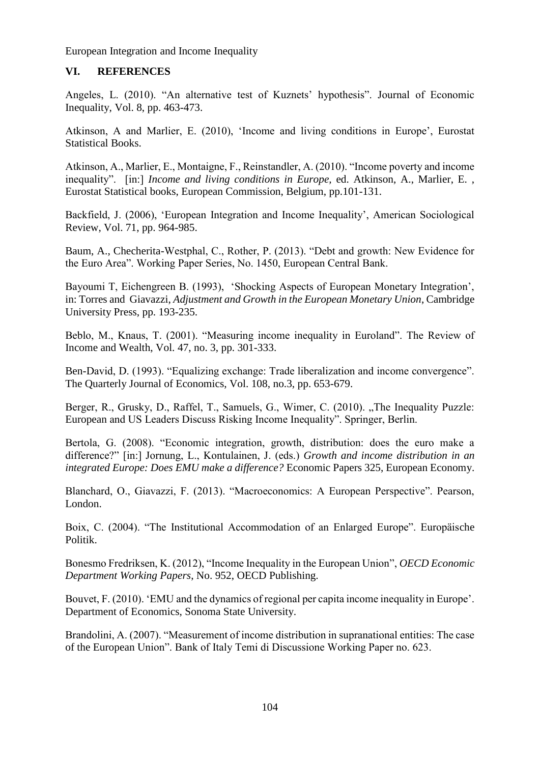## **VI. REFERENCES**

Angeles, L. (2010). "An alternative test of Kuznets' hypothesis". Journal of Economic Inequality, Vol. 8, pp. 463-473.

Atkinson, A and Marlier, E. (2010), 'Income and living conditions in Europe', Eurostat Statistical Books.

Atkinson, A., Marlier, E., Montaigne, F., Reinstandler, A. (2010). "Income poverty and income inequality". [in:] *Income and living conditions in Europe,* ed. Atkinson, A., Marlier, E. , Eurostat Statistical books, European Commission, Belgium, pp.101-131.

Backfield, J. (2006), 'European Integration and Income Inequality', American Sociological Review, Vol. 71, pp. 964-985.

Baum, A., Checherita-Westphal, C., Rother, P. (2013). "Debt and growth: New Evidence for the Euro Area". Working Paper Series, No. 1450, European Central Bank.

Bayoumi T, Eichengreen B. (1993), 'Shocking Aspects of European Monetary Integration', in: Torres and Giavazzi, *Adjustment and Growth in the European Monetary Union*, Cambridge University Press, pp. 193-235.

Beblo, M., Knaus, T. (2001). "Measuring income inequality in Euroland". The Review of Income and Wealth, Vol. 47, no. 3, pp. 301-333.

Ben-David, D. (1993). "Equalizing exchange: Trade liberalization and income convergence". The Quarterly Journal of Economics, Vol. 108, no.3, pp. 653-679.

Berger, R., Grusky, D., Raffel, T., Samuels, G., Wimer, C. (2010). "The Inequality Puzzle: European and US Leaders Discuss Risking Income Inequality". Springer, Berlin.

Bertola, G. (2008). "Economic integration, growth, distribution: does the euro make a difference?" [in:] Jornung, L., Kontulainen, J. (eds.) *Growth and income distribution in an integrated Europe: Does EMU make a difference?* Economic Papers 325, European Economy.

Blanchard, O., Giavazzi, F. (2013). "Macroeconomics: A European Perspective". Pearson, London.

Boix, C. (2004). "The Institutional Accommodation of an Enlarged Europe". Europäische Politik.

Bonesmo Fredriksen, K. (2012), "Income Inequality in the European Union", *OECD Economic Department Working Papers*, No. 952, OECD Publishing.

Bouvet, F. (2010). 'EMU and the dynamics of regional per capita income inequality in Europe'. Department of Economics, Sonoma State University.

Brandolini, A. (2007). "Measurement of income distribution in supranational entities: The case of the European Union". Bank of Italy Temi di Discussione Working Paper no. 623.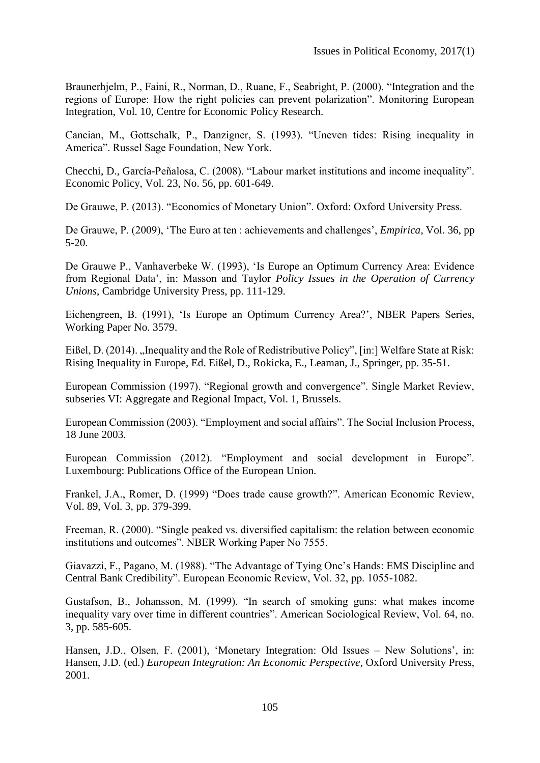Braunerhjelm, P., Faini, R., Norman, D., Ruane, F., Seabright, P. (2000). "Integration and the regions of Europe: How the right policies can prevent polarization". Monitoring European Integration, Vol. 10, Centre for Economic Policy Research.

Cancian, M., Gottschalk, P., Danzigner, S. (1993). "Uneven tides: Rising inequality in America". Russel Sage Foundation, New York.

Checchi, D., García-Peñalosa, C. (2008). "Labour market institutions and income inequality". Economic Policy, Vol. 23, No. 56, pp. 601-649.

De Grauwe, P. (2013). "Economics of Monetary Union". Oxford: Oxford University Press.

De Grauwe, P. (2009), 'The Euro at ten : achievements and challenges', *Empirica*, Vol. 36, pp 5-20.

De Grauwe P., Vanhaverbeke W. (1993), 'Is Europe an Optimum Currency Area: Evidence from Regional Data', in: Masson and Taylor *Policy Issues in the Operation of Currency Unions*, Cambridge University Press, pp. 111-129.

Eichengreen, B. (1991), 'Is Europe an Optimum Currency Area?', NBER Papers Series, Working Paper No. 3579.

Eißel, D. (2014). "Inequality and the Role of Redistributive Policy", [in:] Welfare State at Risk: Rising Inequality in Europe, Ed. Eißel, D., Rokicka, E., Leaman, J., Springer, pp. 35-51.

European Commission (1997). "Regional growth and convergence". Single Market Review, subseries VI: Aggregate and Regional Impact, Vol. 1, Brussels.

European Commission (2003). "Employment and social affairs". The Social Inclusion Process, 18 June 2003.

European Commission (2012). "Employment and social development in Europe". Luxembourg: Publications Office of the European Union.

Frankel, J.A., Romer, D. (1999) "Does trade cause growth?". American Economic Review, Vol. 89, Vol. 3, pp. 379-399.

Freeman, R. (2000). "Single peaked vs. diversified capitalism: the relation between economic institutions and outcomes". NBER Working Paper No 7555.

Giavazzi, F., Pagano, M. (1988). "The Advantage of Tying One's Hands: EMS Discipline and Central Bank Credibility". European Economic Review, Vol. 32, pp. 1055-1082.

Gustafson, B., Johansson, M. (1999). "In search of smoking guns: what makes income inequality vary over time in different countries". American Sociological Review, Vol. 64, no. 3, pp. 585-605.

Hansen, J.D., Olsen, F. (2001), 'Monetary Integration: Old Issues – New Solutions', in: Hansen, J.D. (ed.) *European Integration: An Economic Perspective*, Oxford University Press, 2001.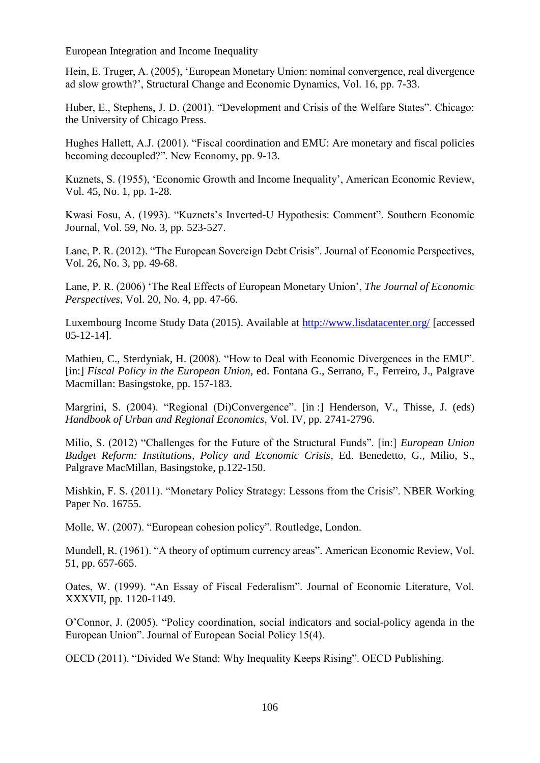Hein, E. Truger, A. (2005), 'European Monetary Union: nominal convergence, real divergence ad slow growth?', Structural Change and Economic Dynamics, Vol. 16, pp. 7-33.

Huber, E., Stephens, J. D. (2001). "Development and Crisis of the Welfare States". Chicago: the University of Chicago Press.

Hughes Hallett, A.J. (2001). "Fiscal coordination and EMU: Are monetary and fiscal policies becoming decoupled?". New Economy, pp. 9-13.

Kuznets, S. (1955), 'Economic Growth and Income Inequality', American Economic Review, Vol. 45, No. 1, pp. 1-28.

Kwasi Fosu, A. (1993). "Kuznets's Inverted-U Hypothesis: Comment". Southern Economic Journal, Vol. 59, No. 3, pp. 523-527.

Lane, P. R. (2012). "The European Sovereign Debt Crisis". Journal of Economic Perspectives, Vol. 26, No. 3, pp. 49-68.

Lane, P. R. (2006) 'The Real Effects of European Monetary Union', *The Journal of Economic Perspectives*, Vol. 20, No. 4, pp. 47-66.

Luxembourg Income Study Data (2015). Available at<http://www.lisdatacenter.org/> [accessed 05-12-14].

Mathieu, C., Sterdyniak, H. (2008). "How to Deal with Economic Divergences in the EMU". [in:] *Fiscal Policy in the European Union*, ed. Fontana G., Serrano, F., Ferreiro, J., Palgrave Macmillan: Basingstoke, pp. 157-183.

Margrini, S. (2004). "Regional (Di)Convergence". [in :] Henderson, V., Thisse, J. (eds) *Handbook of Urban and Regional Economics*, Vol. IV, pp. 2741-2796.

Milio, S. (2012) "Challenges for the Future of the Structural Funds". [in:] *European Union Budget Reform: Institutions, Policy and Economic Crisis*, Ed. Benedetto, G., Milio, S., Palgrave MacMillan, Basingstoke, p.122-150.

Mishkin, F. S. (2011). "Monetary Policy Strategy: Lessons from the Crisis". NBER Working Paper No. 16755.

Molle, W. (2007). "European cohesion policy". Routledge, London.

Mundell, R. (1961). "A theory of optimum currency areas". American Economic Review, Vol. 51, pp. 657-665.

Oates, W. (1999). "An Essay of Fiscal Federalism". Journal of Economic Literature, Vol. XXXVII, pp. 1120-1149.

O'Connor, J. (2005). "Policy coordination, social indicators and social-policy agenda in the European Union". Journal of European Social Policy 15(4).

OECD (2011). "Divided We Stand: Why Inequality Keeps Rising". OECD Publishing.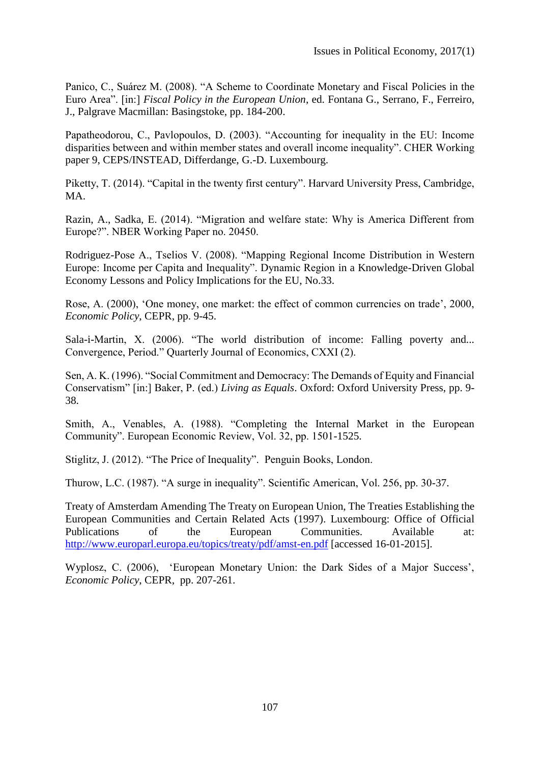Panico, C., Suárez M. (2008). "A Scheme to Coordinate Monetary and Fiscal Policies in the Euro Area". [in:] *Fiscal Policy in the European Union*, ed. Fontana G., Serrano, F., Ferreiro, J., Palgrave Macmillan: Basingstoke, pp. 184-200.

Papatheodorou, C., Pavlopoulos, D. (2003). "Accounting for inequality in the EU: Income disparities between and within member states and overall income inequality". CHER Working paper 9, CEPS/INSTEAD, Differdange, G.-D. Luxembourg.

Piketty, T. (2014). "Capital in the twenty first century". Harvard University Press, Cambridge, MA.

Razin, A., Sadka, E. (2014). "Migration and welfare state: Why is America Different from Europe?". NBER Working Paper no. 20450.

Rodriguez-Pose A., Tselios V. (2008). "Mapping Regional Income Distribution in Western Europe: Income per Capita and Inequality". Dynamic Region in a Knowledge-Driven Global Economy Lessons and Policy Implications for the EU, No.33.

Rose, A. (2000), 'One money, one market: the effect of common currencies on trade', 2000, *Economic Policy*, CEPR, pp. 9-45.

Sala-i-Martin, X. (2006). "The world distribution of income: Falling poverty and... Convergence, Period." Quarterly Journal of Economics, CXXI (2).

Sen, A. K. (1996). "Social Commitment and Democracy: The Demands of Equity and Financial Conservatism" [in:] Baker, P. (ed.) *Living as Equals*. Oxford: Oxford University Press, pp. 9- 38.

Smith, A., Venables, A. (1988). "Completing the Internal Market in the European Community". European Economic Review, Vol. 32, pp. 1501-1525.

Stiglitz, J. (2012). "The Price of Inequality". Penguin Books, London.

Thurow, L.C. (1987). "A surge in inequality". Scientific American, Vol. 256, pp. 30-37.

Treaty of Amsterdam Amending The Treaty on European Union, The Treaties Establishing the European Communities and Certain Related Acts (1997). Luxembourg: Office of Official Publications of the European Communities. Available at: <http://www.europarl.europa.eu/topics/treaty/pdf/amst-en.pdf> [accessed 16-01-2015].

Wyplosz, C. (2006), 'European Monetary Union: the Dark Sides of a Major Success', *Economic Policy*, CEPR, pp. 207-261.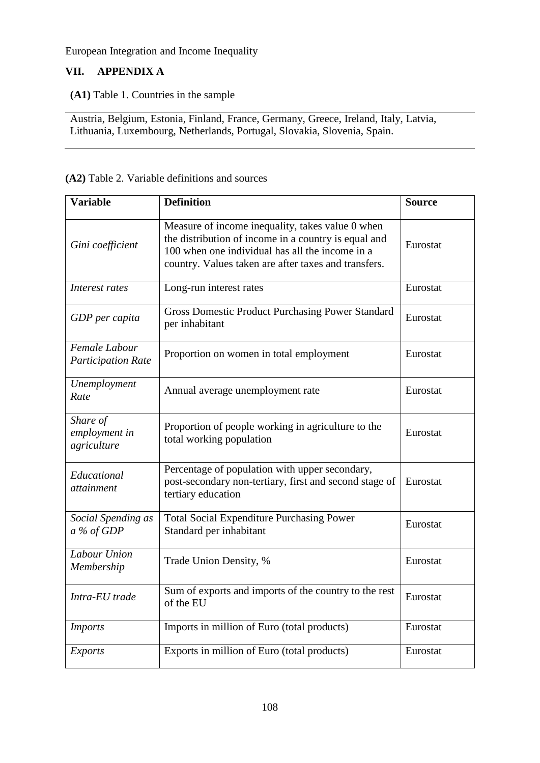# **VII. APPENDIX A**

## **(A1)** Table 1. Countries in the sample

Austria, Belgium, Estonia, Finland, France, Germany, Greece, Ireland, Italy, Latvia, Lithuania, Luxembourg, Netherlands, Portugal, Slovakia, Slovenia, Spain.

#### **(A2)** Table 2. Variable definitions and sources

| <b>Variable</b>                            | <b>Definition</b>                                                                                                                                                                                                   | <b>Source</b> |
|--------------------------------------------|---------------------------------------------------------------------------------------------------------------------------------------------------------------------------------------------------------------------|---------------|
| Gini coefficient                           | Measure of income inequality, takes value 0 when<br>the distribution of income in a country is equal and<br>100 when one individual has all the income in a<br>country. Values taken are after taxes and transfers. | Eurostat      |
| Interest rates                             | Long-run interest rates                                                                                                                                                                                             | Eurostat      |
| GDP per capita                             | <b>Gross Domestic Product Purchasing Power Standard</b><br>per inhabitant                                                                                                                                           | Eurostat      |
| Female Labour<br><b>Participation Rate</b> | Proportion on women in total employment                                                                                                                                                                             | Eurostat      |
| Unemployment<br>Rate                       | Annual average unemployment rate                                                                                                                                                                                    | Eurostat      |
| Share of<br>employment in<br>agriculture   | Proportion of people working in agriculture to the<br>total working population                                                                                                                                      | Eurostat      |
| Educational<br>attainment                  | Percentage of population with upper secondary,<br>post-secondary non-tertiary, first and second stage of<br>tertiary education                                                                                      | Eurostat      |
| Social Spending as<br>$a\%$ of GDP         | <b>Total Social Expenditure Purchasing Power</b><br>Standard per inhabitant                                                                                                                                         | Eurostat      |
| Labour Union<br>Membership                 | Trade Union Density, %                                                                                                                                                                                              | Eurostat      |
| Intra-EU trade                             | Sum of exports and imports of the country to the rest<br>of the EU                                                                                                                                                  | Eurostat      |
| <b>Imports</b>                             | Imports in million of Euro (total products)                                                                                                                                                                         | Eurostat      |
| <b>Exports</b>                             | Exports in million of Euro (total products)                                                                                                                                                                         | Eurostat      |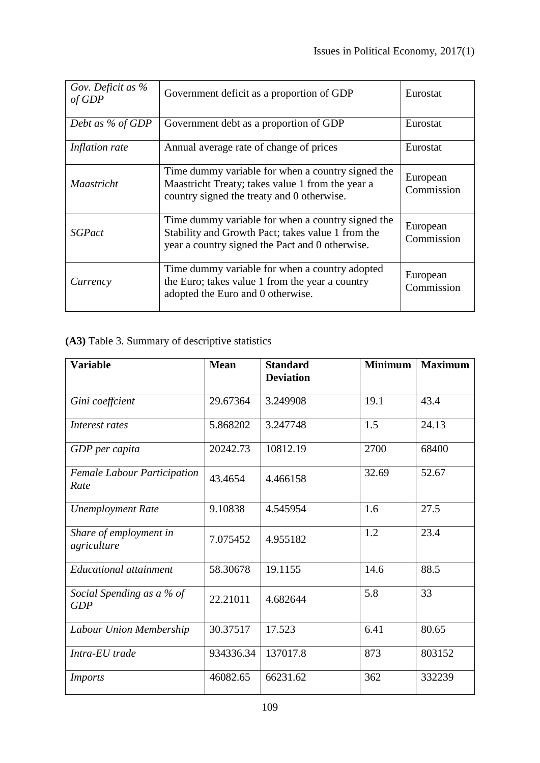| Gov. Deficit as %<br>of GDP | Government deficit as a proportion of GDP                                                                                                                 | Eurostat               |
|-----------------------------|-----------------------------------------------------------------------------------------------------------------------------------------------------------|------------------------|
| Debt as % of GDP            | Government debt as a proportion of GDP                                                                                                                    | Eurostat               |
| Inflation rate              | Annual average rate of change of prices                                                                                                                   | Eurostat               |
| <i>Maastricht</i>           | Time dummy variable for when a country signed the<br>Maastricht Treaty; takes value 1 from the year a<br>country signed the treaty and 0 otherwise.       | European<br>Commission |
| <b>SGPact</b>               | Time dummy variable for when a country signed the<br>Stability and Growth Pact; takes value 1 from the<br>year a country signed the Pact and 0 otherwise. | European<br>Commission |
| Currency                    | Time dummy variable for when a country adopted<br>the Euro; takes value 1 from the year a country<br>adopted the Euro and 0 otherwise.                    | European<br>Commission |

**(A3)** Table 3. Summary of descriptive statistics

| <b>Variable</b>                            | <b>Mean</b> | <b>Standard</b><br><b>Deviation</b> | <b>Minimum</b> | <b>Maximum</b> |
|--------------------------------------------|-------------|-------------------------------------|----------------|----------------|
| Gini coeffcient                            | 29.67364    | 3.249908                            | 19.1           | 43.4           |
| Interest rates                             | 5.868202    | 3.247748                            | 1.5            | 24.13          |
| GDP per capita                             | 20242.73    | 10812.19                            | 2700           | 68400          |
| <b>Female Labour Participation</b><br>Rate | 43.4654     | 4.466158                            | 32.69          | 52.67          |
| <b>Unemployment Rate</b>                   | 9.10838     | 4.545954                            | 1.6            | 27.5           |
| Share of employment in<br>agriculture      | 7.075452    | 4.955182                            | 1.2            | 23.4           |
| <b>Educational attainment</b>              | 58.30678    | 19.1155                             | 14.6           | 88.5           |
| Social Spending as a % of<br>GDP           | 22.21011    | 4.682644                            | 5.8            | 33             |
| Labour Union Membership                    | 30.37517    | 17.523                              | 6.41           | 80.65          |
| Intra-EU trade                             | 934336.34   | 137017.8                            | 873            | 803152         |
| <b>Imports</b>                             | 46082.65    | 66231.62                            | 362            | 332239         |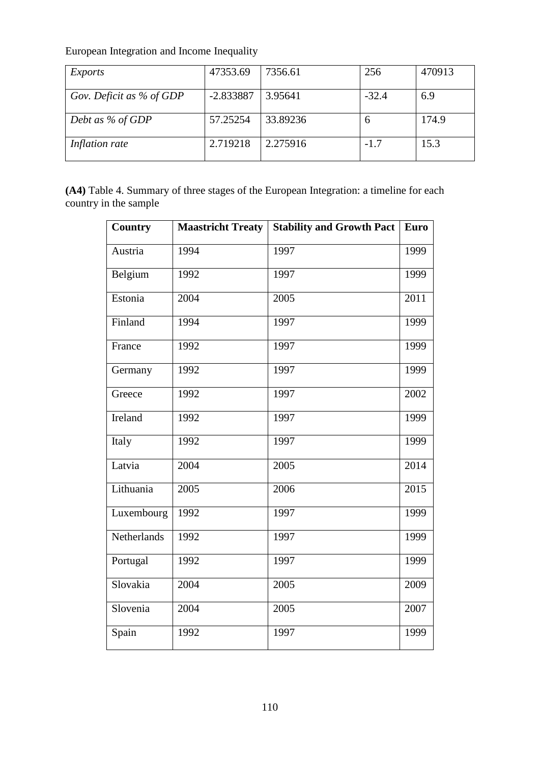| Exports                  | 47353.69    | 7356.61  | 256     | 470913 |
|--------------------------|-------------|----------|---------|--------|
| Gov. Deficit as % of GDP | $-2.833887$ | 3.95641  | $-32.4$ | 6.9    |
| Debt as % of GDP         | 57.25254    | 33.89236 | n       | 174.9  |
| Inflation rate           | 2.719218    | 2.275916 | $-1.7$  | 15.3   |

**(A4)** Table 4. Summary of three stages of the European Integration: a timeline for each country in the sample

| <b>Country</b> | <b>Maastricht Treaty</b> | <b>Stability and Growth Pact</b> | <b>Euro</b>       |
|----------------|--------------------------|----------------------------------|-------------------|
| Austria        | 1994                     | 1997                             | 1999              |
| Belgium        | 1992                     | 1997                             | 1999              |
| Estonia        | 2004                     | 2005                             | $\overline{2011}$ |
| Finland        | 1994                     | 1997                             | 1999              |
| France         | 1992                     | 1997                             | 1999              |
| Germany        | 1992                     | 1997                             | 1999              |
| Greece         | 1992                     | 1997                             | 2002              |
| Ireland        | 1992                     | 1997                             | 1999              |
| Italy          | 1992                     | 1997                             | 1999              |
| Latvia         | 2004                     | 2005                             | 2014              |
| Lithuania      | 2005                     | 2006                             | 2015              |
| Luxembourg     | 1992                     | 1997                             | 1999              |
| Netherlands    | 1992                     | 1997                             | 1999              |
| Portugal       | 1992                     | 1997                             | 1999              |
| Slovakia       | 2004                     | 2005                             | 2009              |
| Slovenia       | 2004                     | 2005                             | 2007              |
| Spain          | 1992                     | 1997                             | 1999              |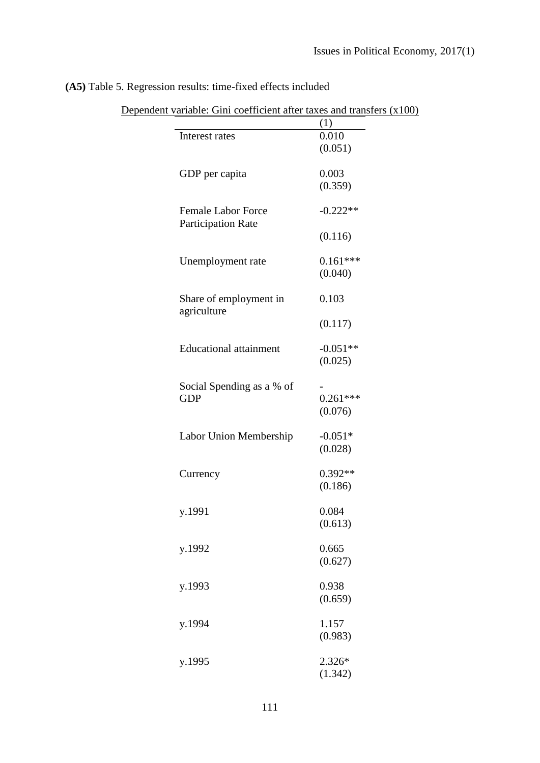|                                                        | (1)                   |
|--------------------------------------------------------|-----------------------|
| Interest rates                                         | 0.010<br>(0.051)      |
| GDP per capita                                         | 0.003<br>(0.359)      |
| <b>Female Labor Force</b><br><b>Participation Rate</b> | $-0.222**$            |
|                                                        | (0.116)               |
| Unemployment rate                                      | $0.161***$<br>(0.040) |
| Share of employment in<br>agriculture                  | 0.103                 |
|                                                        | (0.117)               |
| <b>Educational attainment</b>                          | $-0.051**$<br>(0.025) |
| Social Spending as a % of<br><b>GDP</b>                | $0.261***$<br>(0.076) |
| Labor Union Membership                                 | $-0.051*$<br>(0.028)  |
| Currency                                               | $0.392**$<br>(0.186)  |
| y.1991                                                 | 0.084<br>(0.613)      |
| y.1992                                                 | 0.665<br>(0.627)      |
| y.1993                                                 | 0.938<br>(0.659)      |
| y.1994                                                 | 1.157<br>(0.983)      |
| y.1995                                                 | 2.326*<br>(1.342)     |

# **(A5)** Table 5. Regression results: time-fixed effects included

| Dependent variable: Gini coefficient after taxes and transfers $(x100)$ |
|-------------------------------------------------------------------------|
|-------------------------------------------------------------------------|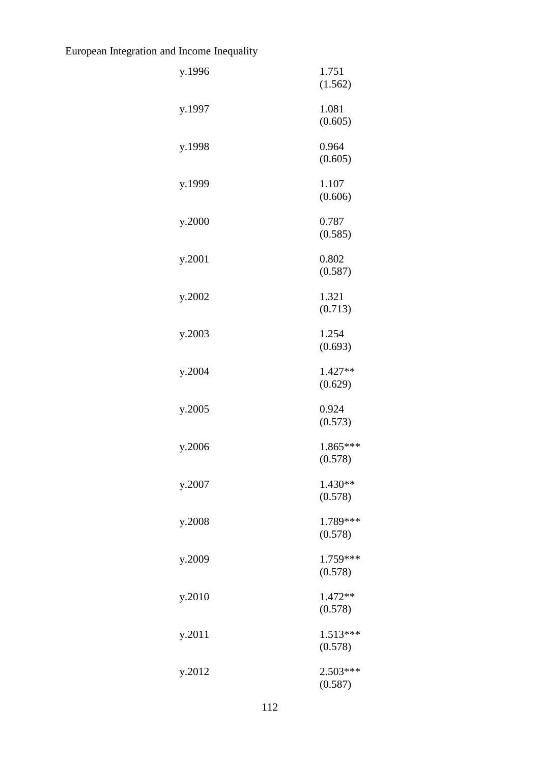| y.1996 | 1.751<br>(1.562)      |
|--------|-----------------------|
| y.1997 | 1.081<br>(0.605)      |
| y.1998 | 0.964<br>(0.605)      |
| y.1999 | 1.107<br>(0.606)      |
| y.2000 | 0.787<br>(0.585)      |
| y.2001 | 0.802<br>(0.587)      |
| y.2002 | 1.321<br>(0.713)      |
| y.2003 | 1.254<br>(0.693)      |
| y.2004 | 1.427**<br>(0.629)    |
| y.2005 | 0.924<br>(0.573)      |
| y.2006 | 1.865***<br>(0.578)   |
| y.2007 | $1.430**$<br>(0.578)  |
| y.2008 | 1.789***<br>(0.578)   |
| y.2009 | 1.759***<br>(0.578)   |
| y.2010 | 1.472**<br>(0.578)    |
| y.2011 | $1.513***$<br>(0.578) |
| y.2012 | 2.503***<br>(0.587)   |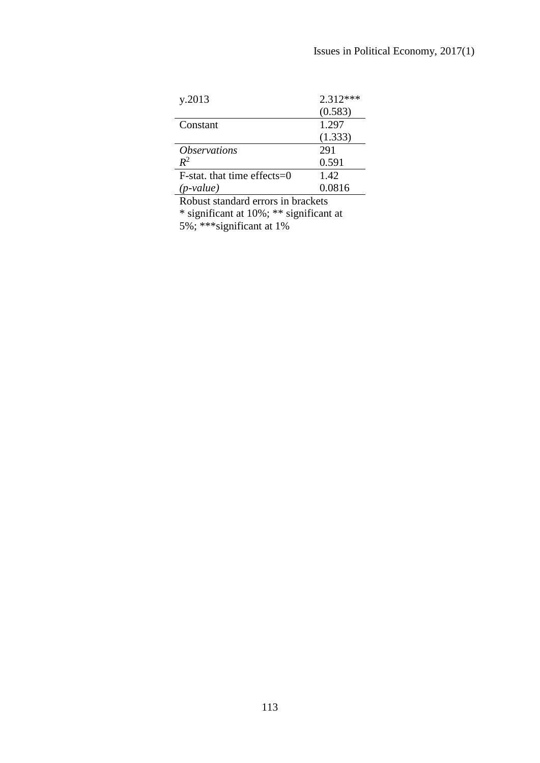| y.2013                         | $2.312***$ |
|--------------------------------|------------|
|                                | (0.583)    |
| Constant                       | 1.297      |
|                                | (1.333)    |
| <i><b>Observations</b></i>     | 291        |
| $R^2$                          | 0.591      |
| $F$ -stat. that time effects=0 | 1.42       |
| (p-value)                      | 0.0816     |

Robust standard errors in brackets \* significant at 10%; \*\* significant at

5%; \*\*\*significant at 1%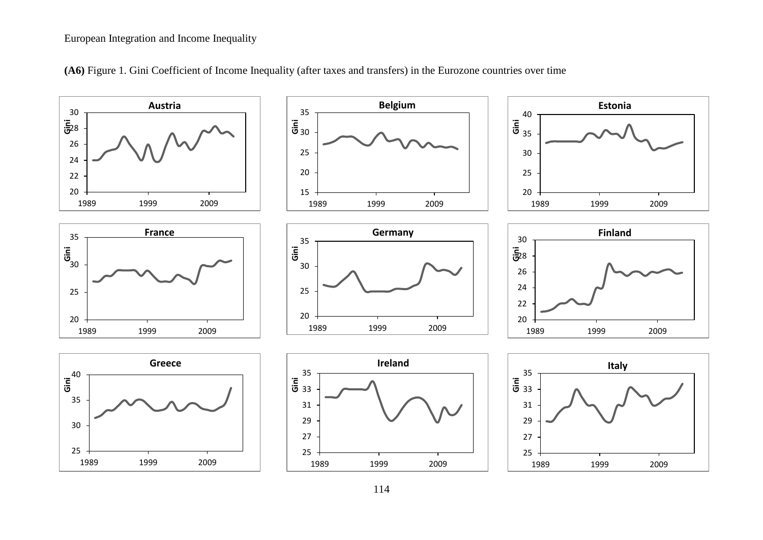

**(A6)** Figure 1. Gini Coefficient of Income Inequality (after taxes and transfers) in the Eurozone countries over time